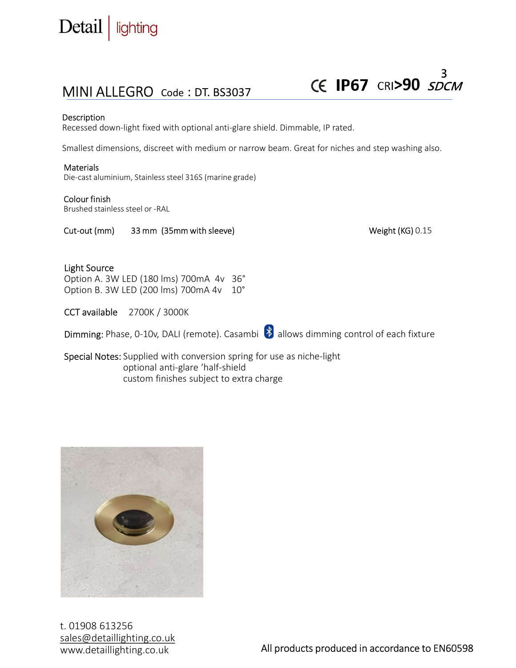

## MINI ALLEGRO Code : DT. BS3037

Description<br>Recessed down-light fixed with optional anti-glare shield. Dimmable, IP rated.

**CE TP67** CRI>90<br>
MINI ALLEGRO Code : DT. BS3037<br>
Description<br>
Recessed down-light fixed with optional anti-glare shield. Dimmable, IP rated.<br>
Smallest dimensions, discreet with medium or narrow beam. Great for niches and Smallest dimensions, discreet with medium or narrow beam. Great for niches and step washing also.

### **Materials**

Die-cast aluminium, Stainless steel 316S (marine grade)

### Colour finish

Brushed stainless steel or -RAL

Cut-out (mm) 33 mm (35 mm with sleeve) Cut-out (mm) 33 mm (35 mm with sleeve)

### Light Source

Option A. 3W LED (180 lms) 700mA 4v 36° Option B. 3W LED (200 lms) 700mA 4v 10°

CCT available 2700K / 3000K

Necessed down-light fixed with optional anti-glare shield. Dimmable, IP rated.<br>
Smallest dimensions, discreet with medium or narrow beam. Great for niches and step washing also.<br>
Die-cast aluminium, Stainless steel 3165 (m Smallest dimensions, discreet with medium or narrow beam. Great for niches and step washing also.<br>
Materials<br>
Die cast aluminium, Stainless steel 3165 (marine grade)<br>
Colour finish<br>
Brushed stainless steel or -RAL<br>
Cut-out optional anti-glare 'half-shield custom finishes subject to extra charge



t. 01908 613256 sales@detaillighting.co.uk www.detaillighting.co.uk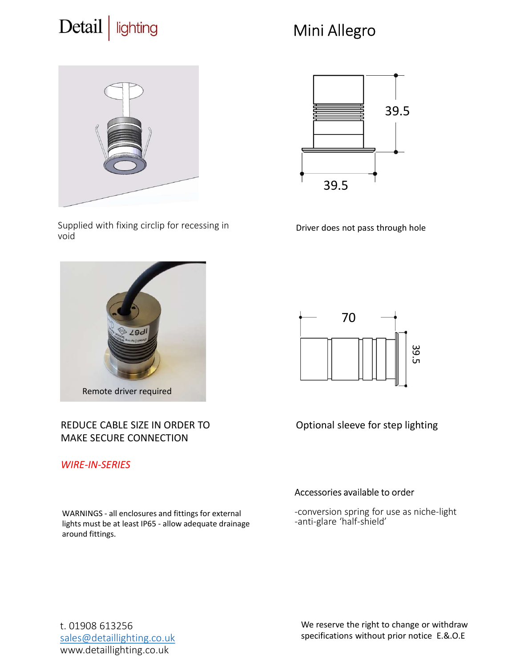### Detail lighting

# Mini Allegro



Supplied with fixing circlip for recessing in void



### REDUCE CABLE SIZE IN ORDER TO MAKE SECURE CONNECTION

### WIRE-IN-SERIES

around fittings.



Driver does not pass through hole



Optional sleeve for step lighting

### Accessories available to order

-conversion spring for use as niche-light -anti-glare 'half-shield'

t. 01908 613256 sales@detaillighting.co.uk www.detaillighting.co.uk

We reserve the right to change or withdraw specifications without prior notice E.&.O.E